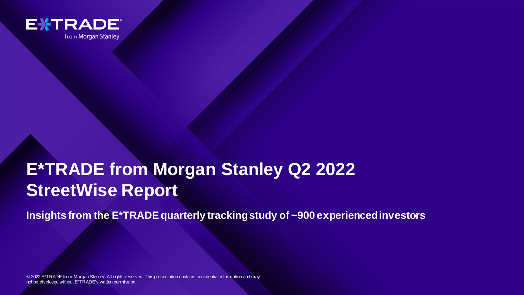

from Morgan Stanley

# **E\*TRADE from Morgan Stanley Q2 2022 StreetWise Report**

**Insights from the E\*TRADE quarterly tracking study of ~900 experienced investors** 

**E\*TRADE FROM MORGAN STANLEY Q2 2 022 STREETWISE REPORT [FOR INTERNAL USE ONLY]** 1

© 2022 E\*TRADE from Morgan Stanley. All rights reserved. This presentation contains confidential information and may not be disclosed without E\*TRADE's written permission.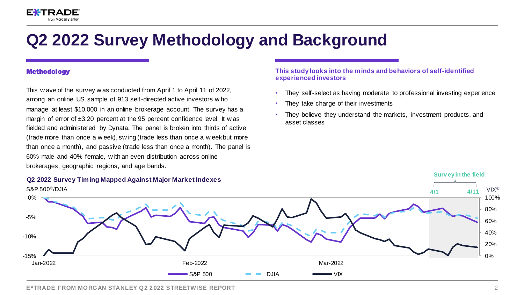# **Q2 2022 Survey Methodology and Background**

### **Methodology**

This w ave of the survey w as conducted from April 1 to April 11 of 2022, among an online US sample of 913 self-directed active investors w ho manage at least \$10,000 in an online brokerage account. The survey has a margin of error of ±3.20 percent at the 95 percent confidence level. It w as fielded and administered by Dynata. The panel is broken into thirds of active (trade more than once a w eek), sw ing (trade less than once a w eek but more than once a month), and passive (trade less than once a month). The panel is 60% male and 40% female, w ith an even distribution across online brokerages, geographic regions, and age bands.

### **This study looks into the minds and behaviors of self-identified experienced investors**

- They self-select as having moderate to professional investing experience
- They take charge of their investments
- They believe they understand the markets, investment products, and asset classes

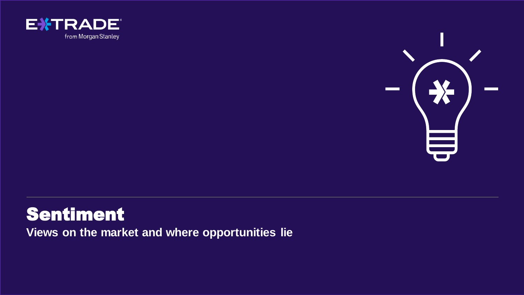



# Sentiment

**Views on the market and where opportunities lie**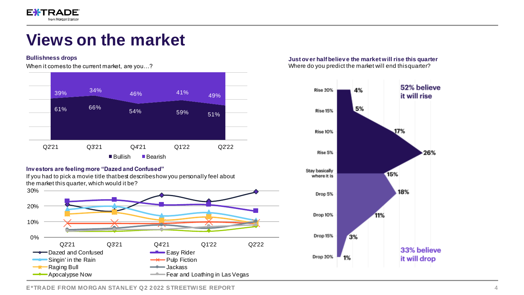

# **Views on the market**

#### **Bullishness drops**

When it comesto the current market, are you...?



#### **Inv estors are feeling more "Dazed and Confused"**



#### **Just ov er half believ e the market will rise this quarter** Where do you predict the market will end this quarter?



**E\*TRADE FROM MORGAN STANLEY Q2 2022 STREETWISE REPORT**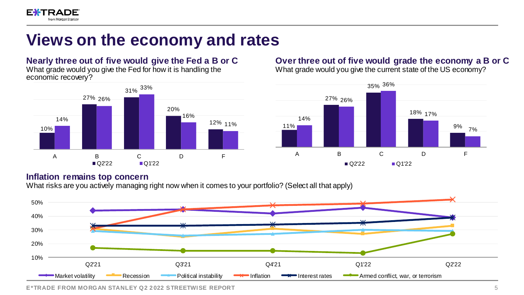

# **Views on the economy and rates**

**Nearly three out of five would give the Fed a B or C** What grade would you give the Fed for how it is handling the economic recovery?



## **Over three out of five would grade the economy a B or C**

What grade would you give the current state of the US economy?



## **Inflation remains top concern**

What risks are you actively managing right now when it comes to your portfolio? (Select all that apply)



**E**\*TRADE FROM MORGAN STANLEY 02 2022 STREETWISE REPORT **And Internal USE ON LIGHT CONTROL** 5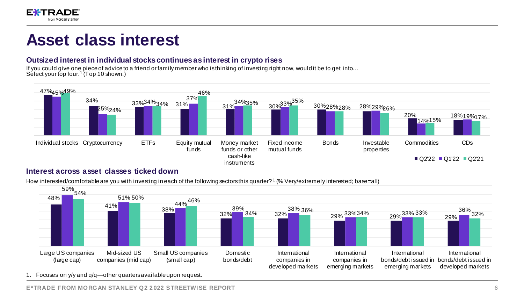

## **Asset class interest**

### **Outsized interest in individual stocks continues as interest in crypto rises**

If you could give one piece of advice to a friend or family member who is thinking of investing right now, would it be to get into… Select your top four.<sup>1</sup> (Top 10 shown.)



### **Interest across asset classes ticked down**

How interested/comfortable are you with investing in each of the following sectors this quarter? <sup>1</sup> (% Very/extremely interested; base=all)



1. Focuses on y/y and q/q—other quarters available upon request.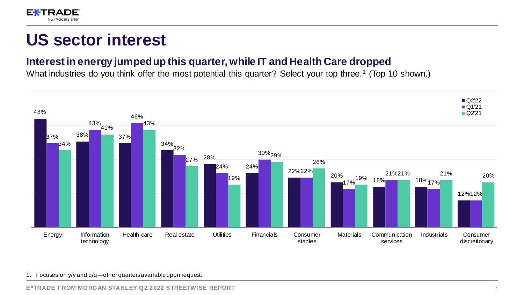

## **US sector interest**

## **Interest in energy jumped up this quarter, while IT and Health Care dropped**

What industries do you think offer the most potential this quarter? Select your top three.<sup>1</sup> (Top 10 shown.)



### 1. Focuses on y/y and q/q—other quarters available upon request.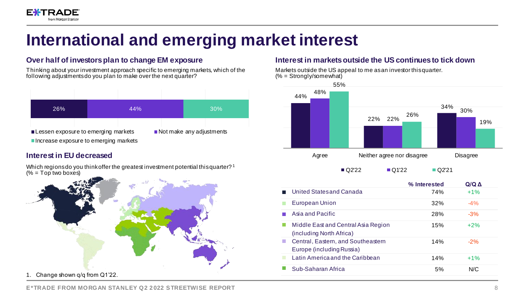

# **International and emerging market interest**

## **Over half of investors plan to change EM exposure**

Thinking about your investment approach specific to emerging markets, which of the following adjustments do you plan to make over the next quarter?



## **Interest in EU decreased**

Which regions do you think offer the greatest investment potential this quarter?<sup>1</sup>  $(% = Top$  two boxes)



### **Interest in markets outside the US continues to tick down**

Markets outside the US appeal to me as an investor this quarter. (% = Strongly/somewhat)



|                                                                        | % Interested | Q/Q A  |
|------------------------------------------------------------------------|--------------|--------|
| United States and Canada                                               | 74%          | $+1%$  |
| <b>European Union</b>                                                  | 32%          | $-4\%$ |
| Asia and Pacific                                                       | 28%          | $-3%$  |
| Middle East and Central Asia Region<br>(including North Africa)        | 15%          | $+2%$  |
| Central, Eastern, and Southeastern<br>a a<br>Europe (including Russia) | 14%          | $-2\%$ |
| Latin America and the Caribbean<br>ш                                   | 14%          | $+1%$  |
| Sub-Saharan Africa                                                     | 5%           | N/C    |

**E\*TRADE FROM MORGAN STANLEY Q2 2022 STREETWISE REPORT** *REPORT REPORT*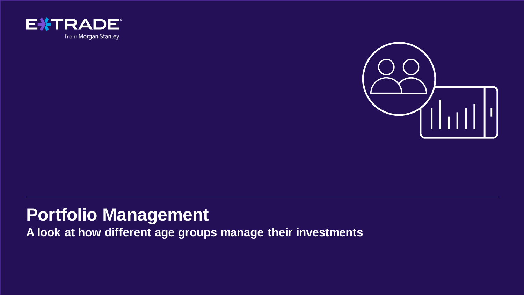



# **Portfolio Management**

**A look at how different age groups manage their investments**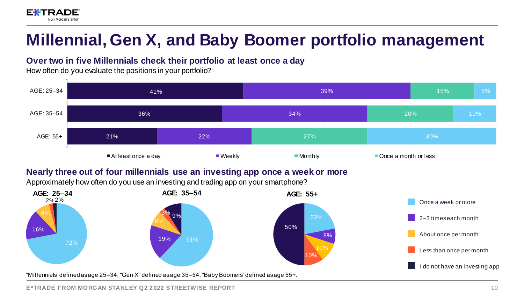

# **Millennial, Gen X, and Baby Boomer portfolio management**

## **Over two in five Millennials check their portfolio at least once a day**

How often do you evaluate the positions in your portfolio?



## **Nearly three out of four millennials use an investing app once a week or more**

Approximately how often do you use an investing and trading app on your smartphone?

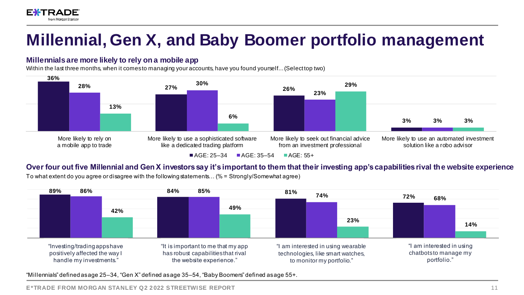

### **Millennials are more likely to rely on a mobile app**

**EXTRADE** from Morgan Stanley

Within the last three months, when it comes to managing your accounts, have you found yourself... (Select top two)



### **Over four out five Millennial and Gen X investors say it's important to them that their investing app's capabilities rival the website experience**

To what extent do you agree or disagree with the following statements… (% = Strongly/Somewhat agree)

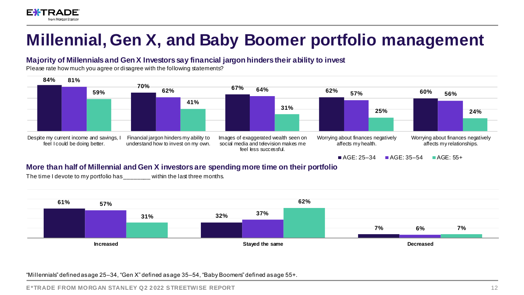

### **Majority of Millennials and Gen X Investors say financial jargon hinders their ability to invest**

Please rate how much you agree or disagree with the following statements?



### **More than half of Millennial and Gen X investors are spending more time on their portfolio**

The time I devote to my portfolio has \_\_\_\_\_\_\_\_ within the last three months.

**EXTRA** 

from Morgan Stanley

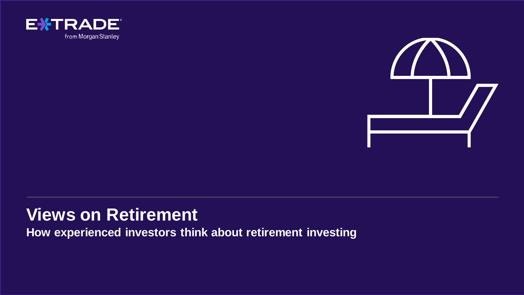



# **Views on Retirement**

**How experienced investors think about retirement investing**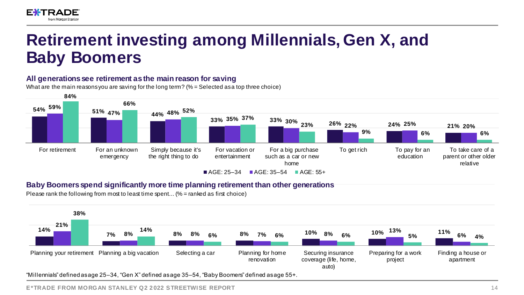

### **All generations see retirement as the main reason for saving**

What are the main reasons you are saving for the long term? (% = Selected as a top three choice)



### **Baby Boomers spend significantly more time planning retirement than other generations**

Please rank the following from most to least time spent... ( $%$  = ranked as first choice)

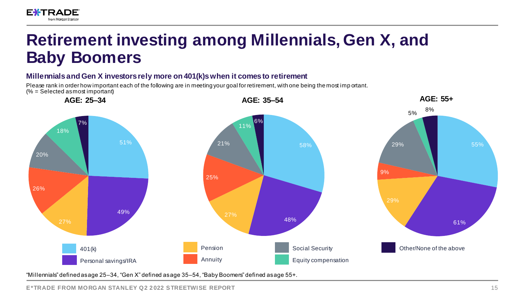

### **Millennials and Gen X investors rely more on 401(k)s when it comes to retirement**

Please rank in order how important each of the following are in meeting your goal for retirement, with one being the most imp ortant.  $(% = Selected$  as most important)



"Millennials" defined as age 25–34, "Gen X" defined as age 35–54, "Baby Boomers" defined as age 55+.

**E\*TRADE FROM MORGAN STANLEY Q2 2022 STREETWISE REPORT** *IS* **<b>EXAMPLE 2** *ASSEMBLE ON LIST ON LIST ON LIST ON LIST ON LIST ON LIST ON LIST ON LIST ON LIST ON LIST ON LIST ON LIST ON LIST ON LIST ON LIST ON LIST ON LIST O*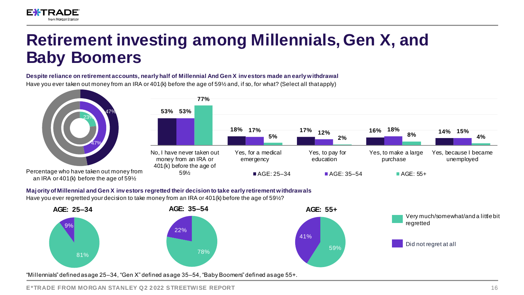

### **Despite reliance on retirement accounts, nearly half of Millennial And Gen X inv estors made an early withdrawal**

Have you ever taken out money from an IRA or 401(k) before the age of 59½ and, if so, for what? (Select all that apply)



### **Majority of Millennial and Gen X inv estors regretted their decision to take early retirement withdrawals**

Have you ever regretted your decision to take money from an IRA or 401 (k) before the age of 59½?

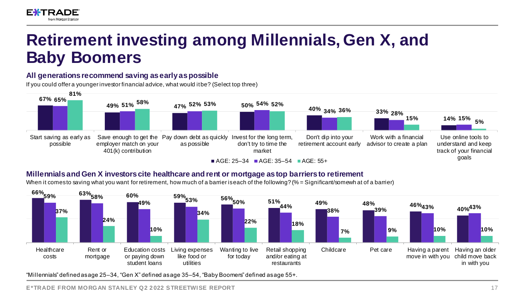

### **All generations recommend saving as early as possible**

If you could offer a younger investor financial advice, what would it be? (Select top three)



## **Millennials and Gen X investors cite healthcare and rent or mortgage as top barriers to retirement**

When it comesto saving what you want for retirement, how much of a barrier is each of the following? (% = Significant/somewh at of a barrier)